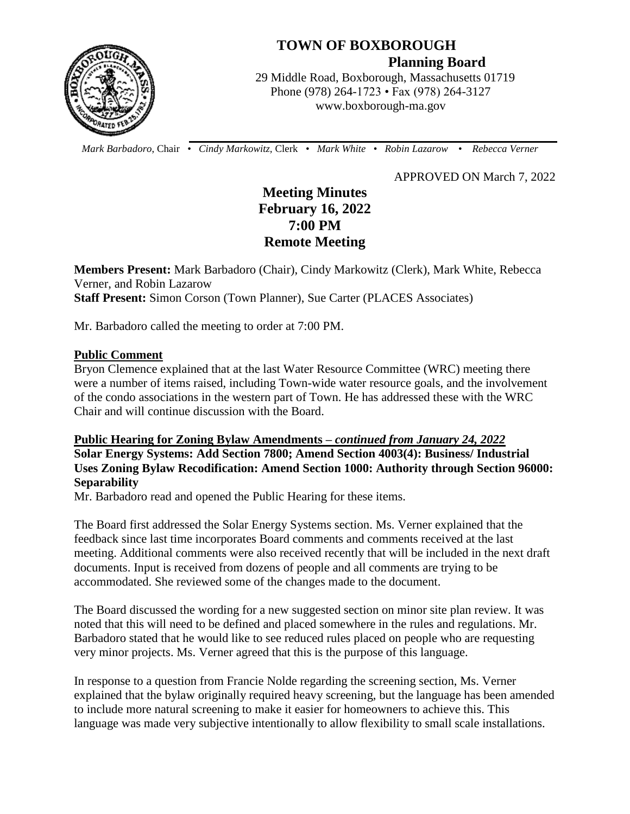

# **TOWN OF BOXBOROUGH**

 **Planning Board**

 29 Middle Road, Boxborough, Massachusetts 01719 Phone (978) 264-1723 • Fax (978) 264-3127 www.boxborough-ma.gov

 *Mark Barbadoro*, Chair • *Cindy Markowitz,* Clerk • *Mark White* • *Robin Lazarow* • *Rebecca Verner*

APPROVED ON March 7, 2022

## **Meeting Minutes February 16, 2022 7:00 PM Remote Meeting**

**Members Present:** Mark Barbadoro (Chair), Cindy Markowitz (Clerk), Mark White, Rebecca Verner, and Robin Lazarow **Staff Present:** Simon Corson (Town Planner), Sue Carter (PLACES Associates)

Mr. Barbadoro called the meeting to order at 7:00 PM.

#### **Public Comment**

Bryon Clemence explained that at the last Water Resource Committee (WRC) meeting there were a number of items raised, including Town-wide water resource goals, and the involvement of the condo associations in the western part of Town. He has addressed these with the WRC Chair and will continue discussion with the Board.

## **Public Hearing for Zoning Bylaw Amendments –** *continued from January 24, 2022*  **Solar Energy Systems: Add Section 7800; Amend Section 4003(4): Business/ Industrial Uses Zoning Bylaw Recodification: Amend Section 1000: Authority through Section 96000: Separability**

Mr. Barbadoro read and opened the Public Hearing for these items.

The Board first addressed the Solar Energy Systems section. Ms. Verner explained that the feedback since last time incorporates Board comments and comments received at the last meeting. Additional comments were also received recently that will be included in the next draft documents. Input is received from dozens of people and all comments are trying to be accommodated. She reviewed some of the changes made to the document.

The Board discussed the wording for a new suggested section on minor site plan review. It was noted that this will need to be defined and placed somewhere in the rules and regulations. Mr. Barbadoro stated that he would like to see reduced rules placed on people who are requesting very minor projects. Ms. Verner agreed that this is the purpose of this language.

In response to a question from Francie Nolde regarding the screening section, Ms. Verner explained that the bylaw originally required heavy screening, but the language has been amended to include more natural screening to make it easier for homeowners to achieve this. This language was made very subjective intentionally to allow flexibility to small scale installations.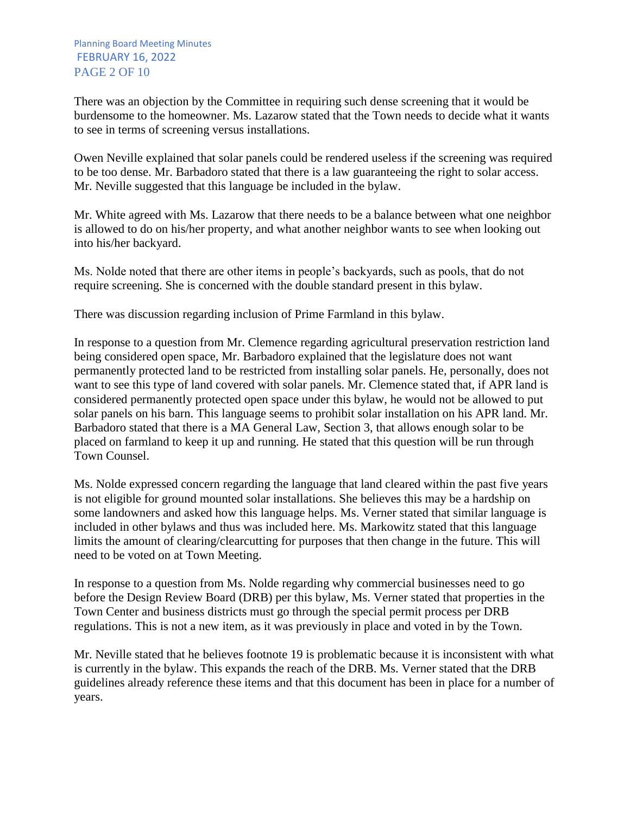There was an objection by the Committee in requiring such dense screening that it would be burdensome to the homeowner. Ms. Lazarow stated that the Town needs to decide what it wants to see in terms of screening versus installations.

Owen Neville explained that solar panels could be rendered useless if the screening was required to be too dense. Mr. Barbadoro stated that there is a law guaranteeing the right to solar access. Mr. Neville suggested that this language be included in the bylaw.

Mr. White agreed with Ms. Lazarow that there needs to be a balance between what one neighbor is allowed to do on his/her property, and what another neighbor wants to see when looking out into his/her backyard.

Ms. Nolde noted that there are other items in people's backyards, such as pools, that do not require screening. She is concerned with the double standard present in this bylaw.

There was discussion regarding inclusion of Prime Farmland in this bylaw.

In response to a question from Mr. Clemence regarding agricultural preservation restriction land being considered open space, Mr. Barbadoro explained that the legislature does not want permanently protected land to be restricted from installing solar panels. He, personally, does not want to see this type of land covered with solar panels. Mr. Clemence stated that, if APR land is considered permanently protected open space under this bylaw, he would not be allowed to put solar panels on his barn. This language seems to prohibit solar installation on his APR land. Mr. Barbadoro stated that there is a MA General Law, Section 3, that allows enough solar to be placed on farmland to keep it up and running. He stated that this question will be run through Town Counsel.

Ms. Nolde expressed concern regarding the language that land cleared within the past five years is not eligible for ground mounted solar installations. She believes this may be a hardship on some landowners and asked how this language helps. Ms. Verner stated that similar language is included in other bylaws and thus was included here. Ms. Markowitz stated that this language limits the amount of clearing/clearcutting for purposes that then change in the future. This will need to be voted on at Town Meeting.

In response to a question from Ms. Nolde regarding why commercial businesses need to go before the Design Review Board (DRB) per this bylaw, Ms. Verner stated that properties in the Town Center and business districts must go through the special permit process per DRB regulations. This is not a new item, as it was previously in place and voted in by the Town.

Mr. Neville stated that he believes footnote 19 is problematic because it is inconsistent with what is currently in the bylaw. This expands the reach of the DRB. Ms. Verner stated that the DRB guidelines already reference these items and that this document has been in place for a number of years.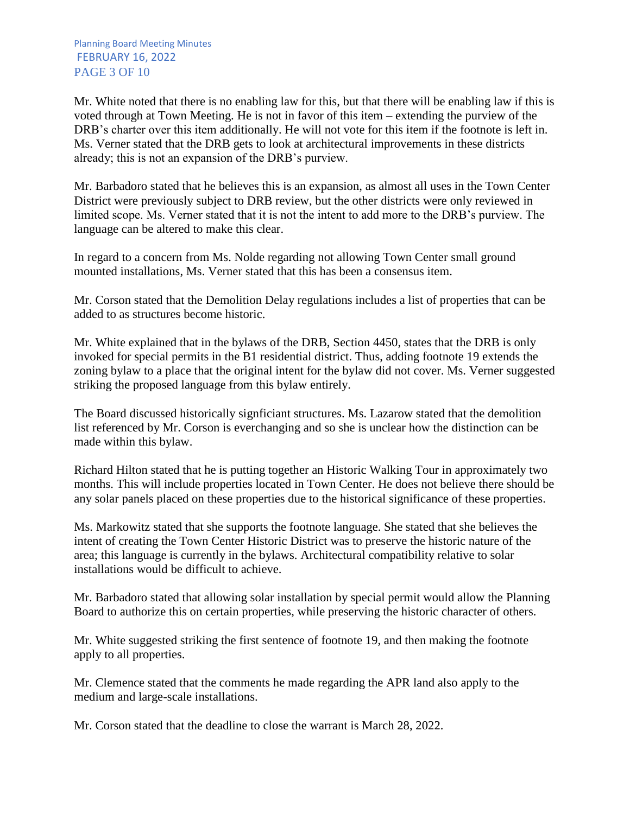Mr. White noted that there is no enabling law for this, but that there will be enabling law if this is voted through at Town Meeting. He is not in favor of this item – extending the purview of the DRB's charter over this item additionally. He will not vote for this item if the footnote is left in. Ms. Verner stated that the DRB gets to look at architectural improvements in these districts already; this is not an expansion of the DRB's purview.

Mr. Barbadoro stated that he believes this is an expansion, as almost all uses in the Town Center District were previously subject to DRB review, but the other districts were only reviewed in limited scope. Ms. Verner stated that it is not the intent to add more to the DRB's purview. The language can be altered to make this clear.

In regard to a concern from Ms. Nolde regarding not allowing Town Center small ground mounted installations, Ms. Verner stated that this has been a consensus item.

Mr. Corson stated that the Demolition Delay regulations includes a list of properties that can be added to as structures become historic.

Mr. White explained that in the bylaws of the DRB, Section 4450, states that the DRB is only invoked for special permits in the B1 residential district. Thus, adding footnote 19 extends the zoning bylaw to a place that the original intent for the bylaw did not cover. Ms. Verner suggested striking the proposed language from this bylaw entirely.

The Board discussed historically signficiant structures. Ms. Lazarow stated that the demolition list referenced by Mr. Corson is everchanging and so she is unclear how the distinction can be made within this bylaw.

Richard Hilton stated that he is putting together an Historic Walking Tour in approximately two months. This will include properties located in Town Center. He does not believe there should be any solar panels placed on these properties due to the historical significance of these properties.

Ms. Markowitz stated that she supports the footnote language. She stated that she believes the intent of creating the Town Center Historic District was to preserve the historic nature of the area; this language is currently in the bylaws. Architectural compatibility relative to solar installations would be difficult to achieve.

Mr. Barbadoro stated that allowing solar installation by special permit would allow the Planning Board to authorize this on certain properties, while preserving the historic character of others.

Mr. White suggested striking the first sentence of footnote 19, and then making the footnote apply to all properties.

Mr. Clemence stated that the comments he made regarding the APR land also apply to the medium and large-scale installations.

Mr. Corson stated that the deadline to close the warrant is March 28, 2022.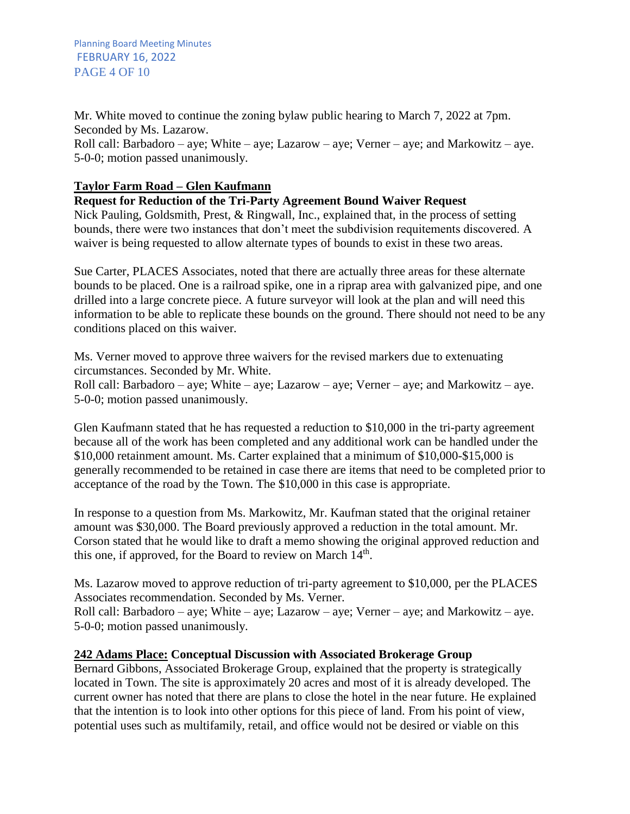Planning Board Meeting Minutes FEBRUARY 16, 2022 PAGE 4 OF 10

Mr. White moved to continue the zoning bylaw public hearing to March 7, 2022 at 7pm. Seconded by Ms. Lazarow.

Roll call: Barbadoro – aye; White – aye; Lazarow – aye; Verner – aye; and Markowitz – aye. 5-0-0; motion passed unanimously.

## **Taylor Farm Road – Glen Kaufmann**

## **Request for Reduction of the Tri-Party Agreement Bound Waiver Request**

Nick Pauling, Goldsmith, Prest, & Ringwall, Inc., explained that, in the process of setting bounds, there were two instances that don't meet the subdivision requitements discovered. A waiver is being requested to allow alternate types of bounds to exist in these two areas.

Sue Carter, PLACES Associates, noted that there are actually three areas for these alternate bounds to be placed. One is a railroad spike, one in a riprap area with galvanized pipe, and one drilled into a large concrete piece. A future surveyor will look at the plan and will need this information to be able to replicate these bounds on the ground. There should not need to be any conditions placed on this waiver.

Ms. Verner moved to approve three waivers for the revised markers due to extenuating circumstances. Seconded by Mr. White.

Roll call: Barbadoro – aye; White – aye; Lazarow – aye; Verner – aye; and Markowitz – aye. 5-0-0; motion passed unanimously.

Glen Kaufmann stated that he has requested a reduction to \$10,000 in the tri-party agreement because all of the work has been completed and any additional work can be handled under the \$10,000 retainment amount. Ms. Carter explained that a minimum of \$10,000-\$15,000 is generally recommended to be retained in case there are items that need to be completed prior to acceptance of the road by the Town. The \$10,000 in this case is appropriate.

In response to a question from Ms. Markowitz, Mr. Kaufman stated that the original retainer amount was \$30,000. The Board previously approved a reduction in the total amount. Mr. Corson stated that he would like to draft a memo showing the original approved reduction and this one, if approved, for the Board to review on March 14<sup>th</sup>.

Ms. Lazarow moved to approve reduction of tri-party agreement to \$10,000, per the PLACES Associates recommendation. Seconded by Ms. Verner.

Roll call: Barbadoro – aye; White – aye; Lazarow – aye; Verner – aye; and Markowitz – aye. 5-0-0; motion passed unanimously.

## **242 Adams Place: Conceptual Discussion with Associated Brokerage Group**

Bernard Gibbons, Associated Brokerage Group, explained that the property is strategically located in Town. The site is approximately 20 acres and most of it is already developed. The current owner has noted that there are plans to close the hotel in the near future. He explained that the intention is to look into other options for this piece of land. From his point of view, potential uses such as multifamily, retail, and office would not be desired or viable on this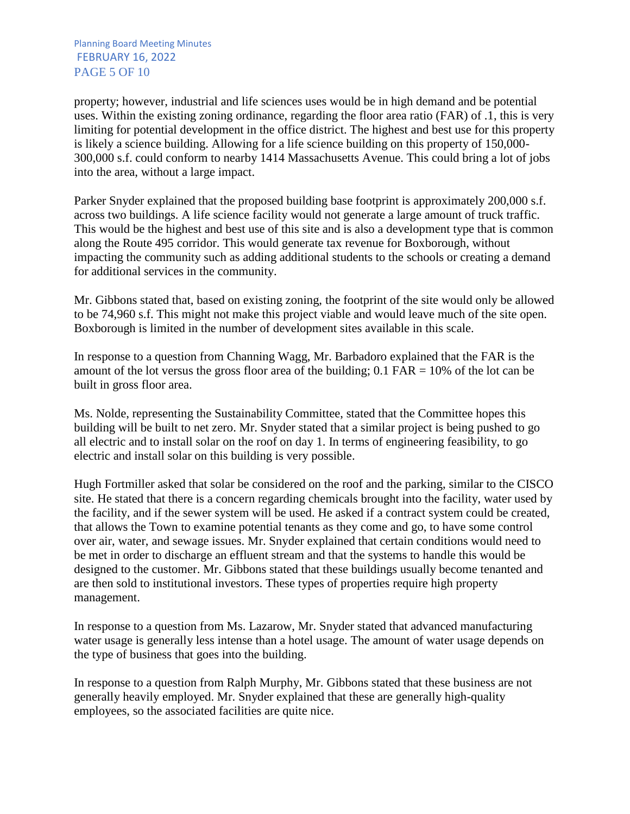Planning Board Meeting Minutes FEBRUARY 16, 2022 PAGE 5 OF 10

property; however, industrial and life sciences uses would be in high demand and be potential uses. Within the existing zoning ordinance, regarding the floor area ratio (FAR) of .1, this is very limiting for potential development in the office district. The highest and best use for this property is likely a science building. Allowing for a life science building on this property of 150,000- 300,000 s.f. could conform to nearby 1414 Massachusetts Avenue. This could bring a lot of jobs into the area, without a large impact.

Parker Snyder explained that the proposed building base footprint is approximately 200,000 s.f. across two buildings. A life science facility would not generate a large amount of truck traffic. This would be the highest and best use of this site and is also a development type that is common along the Route 495 corridor. This would generate tax revenue for Boxborough, without impacting the community such as adding additional students to the schools or creating a demand for additional services in the community.

Mr. Gibbons stated that, based on existing zoning, the footprint of the site would only be allowed to be 74,960 s.f. This might not make this project viable and would leave much of the site open. Boxborough is limited in the number of development sites available in this scale.

In response to a question from Channing Wagg, Mr. Barbadoro explained that the FAR is the amount of the lot versus the gross floor area of the building;  $0.1$  FAR = 10% of the lot can be built in gross floor area.

Ms. Nolde, representing the Sustainability Committee, stated that the Committee hopes this building will be built to net zero. Mr. Snyder stated that a similar project is being pushed to go all electric and to install solar on the roof on day 1. In terms of engineering feasibility, to go electric and install solar on this building is very possible.

Hugh Fortmiller asked that solar be considered on the roof and the parking, similar to the CISCO site. He stated that there is a concern regarding chemicals brought into the facility, water used by the facility, and if the sewer system will be used. He asked if a contract system could be created, that allows the Town to examine potential tenants as they come and go, to have some control over air, water, and sewage issues. Mr. Snyder explained that certain conditions would need to be met in order to discharge an effluent stream and that the systems to handle this would be designed to the customer. Mr. Gibbons stated that these buildings usually become tenanted and are then sold to institutional investors. These types of properties require high property management.

In response to a question from Ms. Lazarow, Mr. Snyder stated that advanced manufacturing water usage is generally less intense than a hotel usage. The amount of water usage depends on the type of business that goes into the building.

In response to a question from Ralph Murphy, Mr. Gibbons stated that these business are not generally heavily employed. Mr. Snyder explained that these are generally high-quality employees, so the associated facilities are quite nice.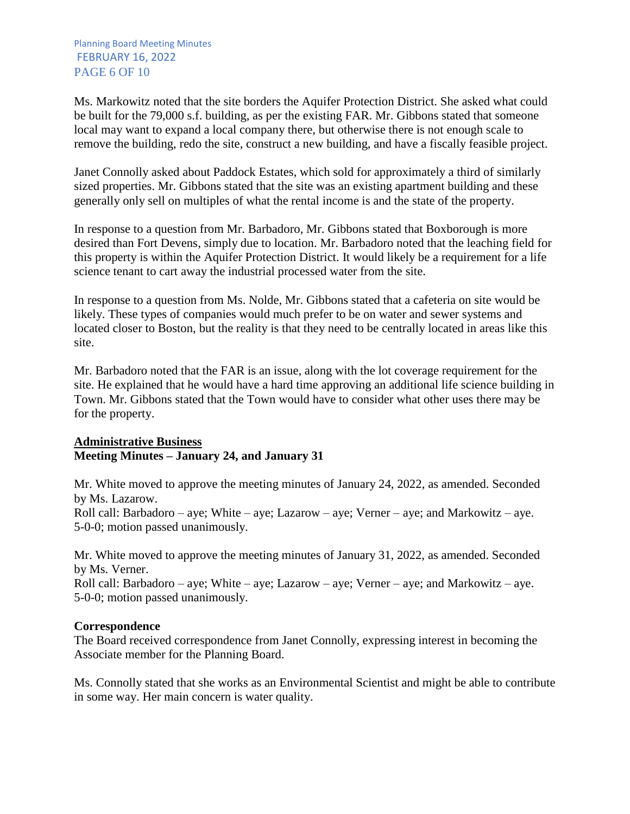Ms. Markowitz noted that the site borders the Aquifer Protection District. She asked what could be built for the 79,000 s.f. building, as per the existing FAR. Mr. Gibbons stated that someone local may want to expand a local company there, but otherwise there is not enough scale to remove the building, redo the site, construct a new building, and have a fiscally feasible project.

Janet Connolly asked about Paddock Estates, which sold for approximately a third of similarly sized properties. Mr. Gibbons stated that the site was an existing apartment building and these generally only sell on multiples of what the rental income is and the state of the property.

In response to a question from Mr. Barbadoro, Mr. Gibbons stated that Boxborough is more desired than Fort Devens, simply due to location. Mr. Barbadoro noted that the leaching field for this property is within the Aquifer Protection District. It would likely be a requirement for a life science tenant to cart away the industrial processed water from the site.

In response to a question from Ms. Nolde, Mr. Gibbons stated that a cafeteria on site would be likely. These types of companies would much prefer to be on water and sewer systems and located closer to Boston, but the reality is that they need to be centrally located in areas like this site.

Mr. Barbadoro noted that the FAR is an issue, along with the lot coverage requirement for the site. He explained that he would have a hard time approving an additional life science building in Town. Mr. Gibbons stated that the Town would have to consider what other uses there may be for the property.

## **Administrative Business Meeting Minutes – January 24, and January 31**

Mr. White moved to approve the meeting minutes of January 24, 2022, as amended. Seconded by Ms. Lazarow. Roll call: Barbadoro – aye; White – aye; Lazarow – aye; Verner – aye; and Markowitz – aye. 5-0-0; motion passed unanimously.

Mr. White moved to approve the meeting minutes of January 31, 2022, as amended. Seconded by Ms. Verner.

Roll call: Barbadoro – aye; White – aye; Lazarow – aye; Verner – aye; and Markowitz – aye. 5-0-0; motion passed unanimously.

## **Correspondence**

The Board received correspondence from Janet Connolly, expressing interest in becoming the Associate member for the Planning Board.

Ms. Connolly stated that she works as an Environmental Scientist and might be able to contribute in some way. Her main concern is water quality.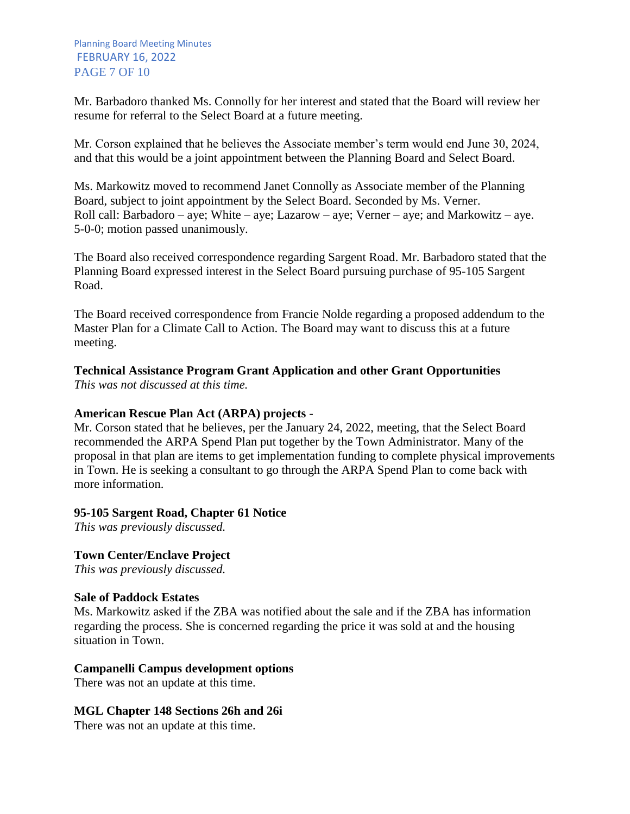Mr. Barbadoro thanked Ms. Connolly for her interest and stated that the Board will review her resume for referral to the Select Board at a future meeting.

Mr. Corson explained that he believes the Associate member's term would end June 30, 2024, and that this would be a joint appointment between the Planning Board and Select Board.

Ms. Markowitz moved to recommend Janet Connolly as Associate member of the Planning Board, subject to joint appointment by the Select Board. Seconded by Ms. Verner. Roll call: Barbadoro – aye; White – aye; Lazarow – aye; Verner – aye; and Markowitz – aye. 5-0-0; motion passed unanimously.

The Board also received correspondence regarding Sargent Road. Mr. Barbadoro stated that the Planning Board expressed interest in the Select Board pursuing purchase of 95-105 Sargent Road.

The Board received correspondence from Francie Nolde regarding a proposed addendum to the Master Plan for a Climate Call to Action. The Board may want to discuss this at a future meeting.

# **Technical Assistance Program Grant Application and other Grant Opportunities**

*This was not discussed at this time.*

## **American Rescue Plan Act (ARPA) projects** *-*

Mr. Corson stated that he believes, per the January 24, 2022, meeting, that the Select Board recommended the ARPA Spend Plan put together by the Town Administrator. Many of the proposal in that plan are items to get implementation funding to complete physical improvements in Town. He is seeking a consultant to go through the ARPA Spend Plan to come back with more information.

## **95-105 Sargent Road, Chapter 61 Notice**

*This was previously discussed.*

## **Town Center/Enclave Project**

*This was previously discussed.*

## **Sale of Paddock Estates**

Ms. Markowitz asked if the ZBA was notified about the sale and if the ZBA has information regarding the process. She is concerned regarding the price it was sold at and the housing situation in Town.

## **Campanelli Campus development options**

There was not an update at this time.

## **MGL Chapter 148 Sections 26h and 26i**

There was not an update at this time.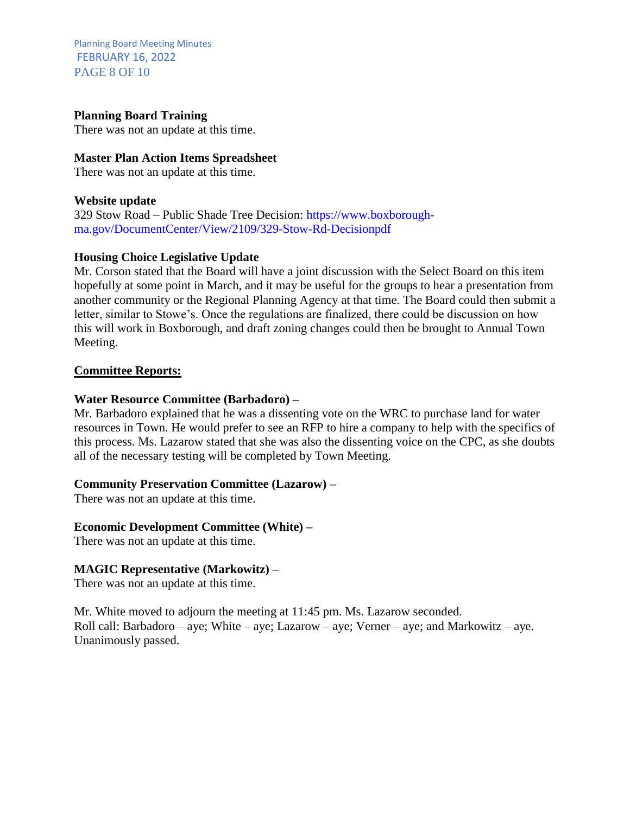Planning Board Meeting Minutes FEBRUARY 16, 2022 PAGE 8 OF 10

#### **Planning Board Training**

There was not an update at this time.

#### **Master Plan Action Items Spreadsheet**

There was not an update at this time.

#### **Website update**

329 Stow Road – Public Shade Tree Decision: https://www.boxboroughma.gov/DocumentCenter/View/2109/329-Stow-Rd-Decisionpdf

#### **Housing Choice Legislative Update**

Mr. Corson stated that the Board will have a joint discussion with the Select Board on this item hopefully at some point in March, and it may be useful for the groups to hear a presentation from another community or the Regional Planning Agency at that time. The Board could then submit a letter, similar to Stowe's. Once the regulations are finalized, there could be discussion on how this will work in Boxborough, and draft zoning changes could then be brought to Annual Town Meeting.

#### **Committee Reports:**

#### **Water Resource Committee (Barbadoro) –**

Mr. Barbadoro explained that he was a dissenting vote on the WRC to purchase land for water resources in Town. He would prefer to see an RFP to hire a company to help with the specifics of this process. Ms. Lazarow stated that she was also the dissenting voice on the CPC, as she doubts all of the necessary testing will be completed by Town Meeting.

#### **Community Preservation Committee (Lazarow) –**

There was not an update at this time.

#### **Economic Development Committee (White) –**

There was not an update at this time.

#### **MAGIC Representative (Markowitz) –**

There was not an update at this time.

Mr. White moved to adjourn the meeting at 11:45 pm. Ms. Lazarow seconded. Roll call: Barbadoro – aye; White – aye; Lazarow – aye; Verner – aye; and Markowitz – aye. Unanimously passed.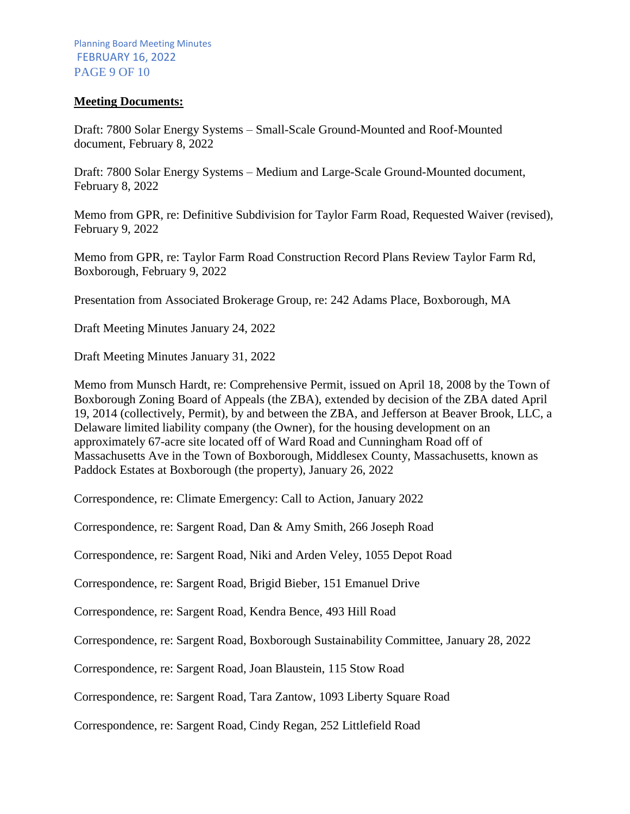#### **Meeting Documents:**

Draft: 7800 Solar Energy Systems – Small-Scale Ground-Mounted and Roof-Mounted document, February 8, 2022

Draft: 7800 Solar Energy Systems – Medium and Large-Scale Ground-Mounted document, February 8, 2022

Memo from GPR, re: Definitive Subdivision for Taylor Farm Road, Requested Waiver (revised), February 9, 2022

Memo from GPR, re: Taylor Farm Road Construction Record Plans Review Taylor Farm Rd, Boxborough, February 9, 2022

Presentation from Associated Brokerage Group, re: 242 Adams Place, Boxborough, MA

Draft Meeting Minutes January 24, 2022

Draft Meeting Minutes January 31, 2022

Memo from Munsch Hardt, re: Comprehensive Permit, issued on April 18, 2008 by the Town of Boxborough Zoning Board of Appeals (the ZBA), extended by decision of the ZBA dated April 19, 2014 (collectively, Permit), by and between the ZBA, and Jefferson at Beaver Brook, LLC, a Delaware limited liability company (the Owner), for the housing development on an approximately 67-acre site located off of Ward Road and Cunningham Road off of Massachusetts Ave in the Town of Boxborough, Middlesex County, Massachusetts, known as Paddock Estates at Boxborough (the property), January 26, 2022

Correspondence, re: Climate Emergency: Call to Action, January 2022

Correspondence, re: Sargent Road, Dan & Amy Smith, 266 Joseph Road

Correspondence, re: Sargent Road, Niki and Arden Veley, 1055 Depot Road

Correspondence, re: Sargent Road, Brigid Bieber, 151 Emanuel Drive

Correspondence, re: Sargent Road, Kendra Bence, 493 Hill Road

Correspondence, re: Sargent Road, Boxborough Sustainability Committee, January 28, 2022

Correspondence, re: Sargent Road, Joan Blaustein, 115 Stow Road

Correspondence, re: Sargent Road, Tara Zantow, 1093 Liberty Square Road

Correspondence, re: Sargent Road, Cindy Regan, 252 Littlefield Road